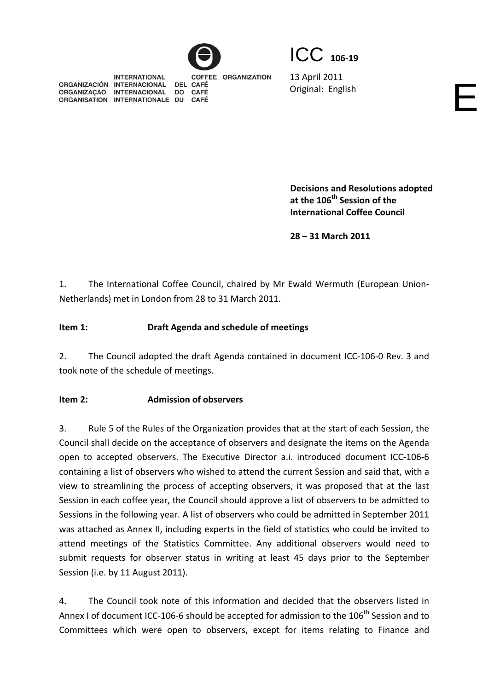ICC **<sup>106</sup>‐<sup>19</sup>**

13 April 2011 Original: English

**INTERNATIONAL COFFEE ORGANIZATION** ORGANIZACIÓN INTERNACIONAL DEL CAFÉ ORGANIZAÇÃO INTERNACIONAL **DO CAFÉ** ORGANISATION INTERNATIONALE DU **CAFÉ** 

> **Decisions and Resolutions adopted at the 106th Session of the International Coffee Council**

**28 – 31 March 2011**

1. The International Coffee Council, chaired by Mr Ewald Wermuth (European Union‐ Netherlands) met in London from 28 to 31 March 2011.

# **Item 1: Draft Agenda and schedule of meetings**

2. The Council adopted the draft Agenda contained in document ICC-106-0 Rev. 3 and took note of the schedule of meetings.

## **Item 2: Admission of observers**

3. Rule 5 of the Rules of the Organization provides that at the start of each Session, the Council shall decide on the acceptance of observers and designate the items on the Agenda open to accepted observers. The Executive Director a.i. introduced document ICC‐106‐6 containing a list of observers who wished to attend the current Session and said that, with a view to streamlining the process of accepting observers, it was proposed that at the last Session in each coffee year, the Council should approve a list of observers to be admitted to Sessions in the following year. A list of observers who could be admitted in September 2011 was attached as Annex II, including experts in the field of statistics who could be invited to attend meetings of the Statistics Committee. Any additional observers would need to submit requests for observer status in writing at least 45 days prior to the September Session (i.e. by 11 August 2011).

4. The Council took note of this information and decided that the observers listed in Annex I of document ICC-106-6 should be accepted for admission to the 106<sup>th</sup> Session and to Committees which were open to observers, except for items relating to Finance and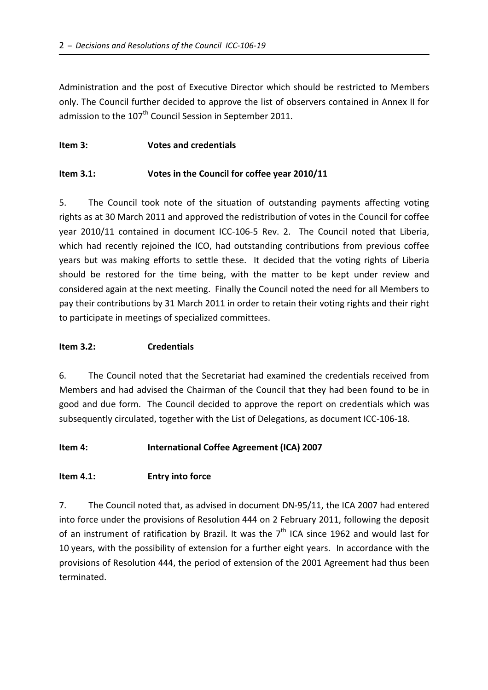Administration and the post of Executive Director which should be restricted to Members only. The Council further decided to approve the list of observers contained in Annex II for admission to the 107<sup>th</sup> Council Session in September 2011.

## **Item 3: Votes and credentials**

## **Item 3.1: Votes in the Council for coffee year 2010/11**

5. The Council took note of the situation of outstanding payments affecting voting rights as at 30 March 2011 and approved the redistribution of votes in the Council for coffee year 2010/11 contained in document ICC-106-5 Rev. 2. The Council noted that Liberia, which had recently rejoined the ICO, had outstanding contributions from previous coffee years but was making efforts to settle these. It decided that the voting rights of Liberia should be restored for the time being, with the matter to be kept under review and considered again at the next meeting. Finally the Council noted the need for all Members to pay their contributions by 31 March 2011 in order to retain their voting rights and their right to participate in meetings of specialized committees.

### **Item 3.2: Credentials**

6. The Council noted that the Secretariat had examined the credentials received from Members and had advised the Chairman of the Council that they had been found to be in good and due form. The Council decided to approve the report on credentials which was subsequently circulated, together with the List of Delegations, as document ICC‐106‐18.

#### **Item 4: International Coffee Agreement (ICA) 2007**

## **Item 4.1: Entry into force**

7. The Council noted that, as advised in document DN‐95/11, the ICA 2007 had entered into force under the provisions of Resolution 444 on 2 February 2011, following the deposit of an instrument of ratification by Brazil. It was the  $7<sup>th</sup>$  ICA since 1962 and would last for 10 years, with the possibility of extension for a further eight years. In accordance with the provisions of Resolution 444, the period of extension of the 2001 Agreement had thus been terminated.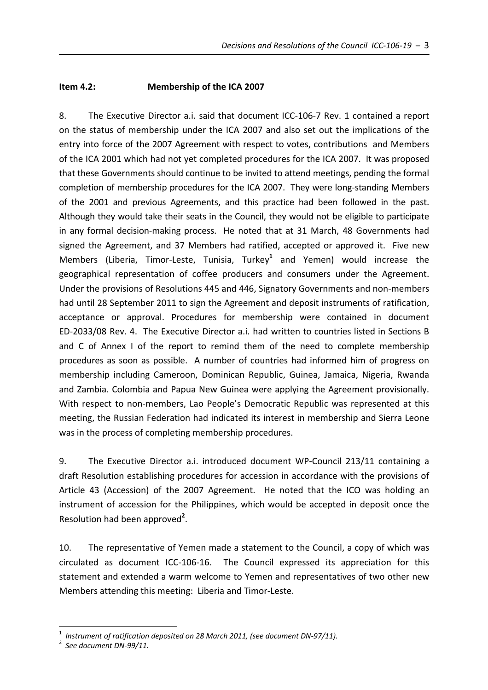# **Item 4.2: Membership of the ICA 2007**

8. The Executive Director a.i. said that document ICC-106-7 Rev. 1 contained a report on the status of membership under the ICA 2007 and also set out the implications of the entry into force of the 2007 Agreement with respect to votes, contributions and Members of the ICA 2001 which had not yet completed procedures for the ICA 2007. It was proposed that these Governments should continue to be invited to attend meetings, pending the formal completion of membership procedures for the ICA 2007. They were long-standing Members of the 2001 and previous Agreements, and this practice had been followed in the past. Although they would take their seats in the Council, they would not be eligible to participate in any formal decision-making process. He noted that at 31 March, 48 Governments had signed the Agreement, and 37 Members had ratified, accepted or approved it. Five new Members (Liberia, Timor‐Leste, Tunisia, Turkey**<sup>1</sup>** and Yemen) would increase the geographical representation of coffee producers and consumers under the Agreement. Under the provisions of Resolutions 445 and 446, Signatory Governments and non‐members had until 28 September 2011 to sign the Agreement and deposit instruments of ratification, acceptance or approval. Procedures for membership were contained in document ED‐2033/08 Rev. 4. The Executive Director a.i. had written to countries listed in Sections B and C of Annex I of the report to remind them of the need to complete membership procedures as soon as possible. A number of countries had informed him of progress on membership including Cameroon, Dominican Republic, Guinea, Jamaica, Nigeria, Rwanda and Zambia. Colombia and Papua New Guinea were applying the Agreement provisionally. With respect to non-members, Lao People's Democratic Republic was represented at this meeting, the Russian Federation had indicated its interest in membership and Sierra Leone was in the process of completing membership procedures.

9. The Executive Director a.i. introduced document WP-Council 213/11 containing a draft Resolution establishing procedures for accession in accordance with the provisions of Article 43 (Accession) of the 2007 Agreement. He noted that the ICO was holding an instrument of accession for the Philippines, which would be accepted in deposit once the Resolution had been approved**<sup>2</sup>** .

10. The representative of Yemen made a statement to the Council, a copy of which was circulated as document ICC‐106‐16. The Council expressed its appreciation for this statement and extended a warm welcome to Yemen and representatives of two other new Members attending this meeting: Liberia and Timor‐Leste.

 $\overline{a}$ 

<sup>1</sup> *Instrument of ratification deposited on <sup>28</sup> March 2011, (see document DN‐97/11).* <sup>2</sup>

*See document DN‐99/11.*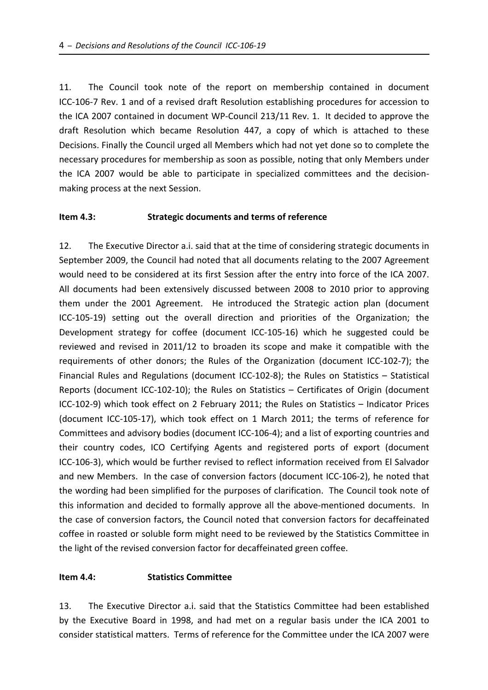11. The Council took note of the report on membership contained in document ICC‐106‐7 Rev. 1 and of a revised draft Resolution establishing procedures for accession to the ICA 2007 contained in document WP‐Council 213/11 Rev. 1. It decided to approve the draft Resolution which became Resolution 447, a copy of which is attached to these Decisions. Finally the Council urged all Members which had not yet done so to complete the necessary procedures for membership as soon as possible, noting that only Members under the ICA 2007 would be able to participate in specialized committees and the decision‐ making process at the next Session.

#### **Item 4.3: Strategic documents and terms of reference**

12. The Executive Director a.i. said that at the time of considering strategic documents in September 2009, the Council had noted that all documents relating to the 2007 Agreement would need to be considered at its first Session after the entry into force of the ICA 2007. All documents had been extensively discussed between 2008 to 2010 prior to approving them under the 2001 Agreement. He introduced the Strategic action plan (document ICC-105-19) setting out the overall direction and priorities of the Organization; the Development strategy for coffee (document ICC‐105‐16) which he suggested could be reviewed and revised in 2011/12 to broaden its scope and make it compatible with the requirements of other donors; the Rules of the Organization (document ICC‐102‐7); the Financial Rules and Regulations (document ICC-102-8); the Rules on Statistics – Statistical Reports (document ICC‐102‐10); the Rules on Statistics – Certificates of Origin (document ICC‐102‐9) which took effect on 2 February 2011; the Rules on Statistics – Indicator Prices (document ICC‐105‐17), which took effect on 1 March 2011; the terms of reference for Committees and advisory bodies (document ICC‐106‐4); and a list of exporting countries and their country codes, ICO Certifying Agents and registered ports of export (document ICC‐106‐3), which would be further revised to reflect information received from El Salvador and new Members. In the case of conversion factors (document ICC‐106‐2), he noted that the wording had been simplified for the purposes of clarification. The Council took note of this information and decided to formally approve all the above-mentioned documents. In the case of conversion factors, the Council noted that conversion factors for decaffeinated coffee in roasted or soluble form might need to be reviewed by the Statistics Committee in the light of the revised conversion factor for decaffeinated green coffee.

#### **Item 4.4: Statistics Committee**

13. The Executive Director a.i. said that the Statistics Committee had been established by the Executive Board in 1998, and had met on a regular basis under the ICA 2001 to consider statistical matters. Terms of reference for the Committee under the ICA 2007 were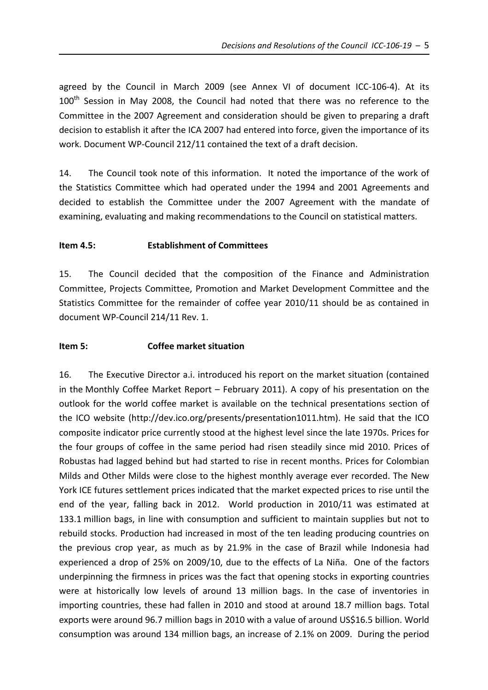agreed by the Council in March 2009 (see Annex VI of document ICC‐106‐4). At its 100<sup>th</sup> Session in May 2008, the Council had noted that there was no reference to the Committee in the 2007 Agreement and consideration should be given to preparing a draft decision to establish it after the ICA 2007 had entered into force, given the importance of its work. Document WP‐Council 212/11 contained the text of a draft decision.

14. The Council took note of this information. It noted the importance of the work of the Statistics Committee which had operated under the 1994 and 2001 Agreements and decided to establish the Committee under the 2007 Agreement with the mandate of examining, evaluating and making recommendations to the Council on statistical matters.

## **Item 4.5: Establishment of Committees**

15. The Council decided that the composition of the Finance and Administration Committee, Projects Committee, Promotion and Market Development Committee and the Statistics Committee for the remainder of coffee year 2010/11 should be as contained in document WP‐Council 214/11 Rev. 1.

# **Item 5: Coffee market situation**

16. The Executive Director a.i. introduced his report on the market situation (contained in the Monthly Coffee Market Report – February 2011). A copy of his presentation on the outlook for the world coffee market is available on the technical presentations section of the ICO website (http://dev.ico.org/presents/presentation1011.htm). He said that the ICO composite indicator price currently stood at the highest level since the late 1970s. Prices for the four groups of coffee in the same period had risen steadily since mid 2010. Prices of Robustas had lagged behind but had started to rise in recent months. Prices for Colombian Milds and Other Milds were close to the highest monthly average ever recorded. The New York ICE futures settlement prices indicated that the market expected prices to rise until the end of the year, falling back in 2012. World production in 2010/11 was estimated at 133.1 million bags, in line with consumption and sufficient to maintain supplies but not to rebuild stocks. Production had increased in most of the ten leading producing countries on the previous crop year, as much as by 21.9% in the case of Brazil while Indonesia had experienced a drop of 25% on 2009/10, due to the effects of La Niña. One of the factors underpinning the firmness in prices was the fact that opening stocks in exporting countries were at historically low levels of around 13 million bags. In the case of inventories in importing countries, these had fallen in 2010 and stood at around 18.7 million bags. Total exports were around 96.7 million bags in 2010 with a value of around US\$16.5 billion. World consumption was around 134 million bags, an increase of 2.1% on 2009. During the period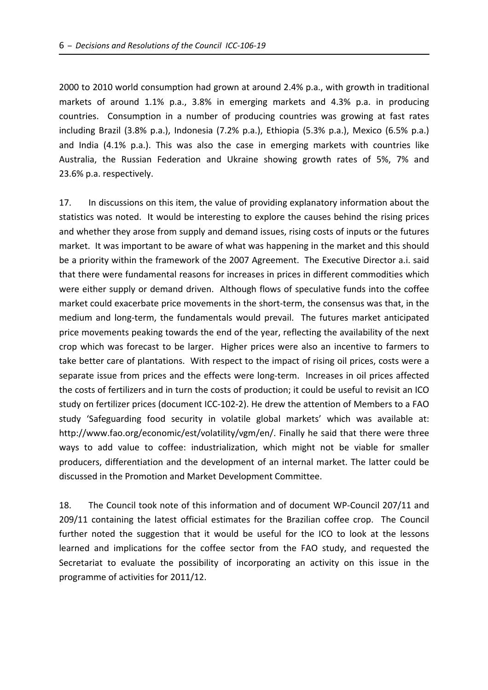2000 to 2010 world consumption had grown at around 2.4% p.a., with growth in traditional markets of around 1.1% p.a., 3.8% in emerging markets and 4.3% p.a. in producing countries. Consumption in a number of producing countries was growing at fast rates including Brazil (3.8% p.a.), Indonesia (7.2% p.a.), Ethiopia (5.3% p.a.), Mexico (6.5% p.a.) and India (4.1% p.a.). This was also the case in emerging markets with countries like Australia, the Russian Federation and Ukraine showing growth rates of 5%, 7% and 23.6% p.a. respectively.

17. In discussions on this item, the value of providing explanatory information about the statistics was noted. It would be interesting to explore the causes behind the rising prices and whether they arose from supply and demand issues, rising costs of inputs or the futures market. It was important to be aware of what was happening in the market and this should be a priority within the framework of the 2007 Agreement. The Executive Director a.i. said that there were fundamental reasons for increases in prices in different commodities which were either supply or demand driven. Although flows of speculative funds into the coffee market could exacerbate price movements in the short-term, the consensus was that, in the medium and long-term, the fundamentals would prevail. The futures market anticipated price movements peaking towards the end of the year, reflecting the availability of the next crop which was forecast to be larger. Higher prices were also an incentive to farmers to take better care of plantations. With respect to the impact of rising oil prices, costs were a separate issue from prices and the effects were long-term. Increases in oil prices affected the costs of fertilizers and in turn the costs of production; it could be useful to revisit an ICO study on fertilizer prices (document ICC‐102‐2). He drew the attention of Members to a FAO study 'Safeguarding food security in volatile global markets' which was available at: http://www.fao.org/economic/est/volatility/vgm/en/. Finally he said that there were three ways to add value to coffee: industrialization, which might not be viable for smaller producers, differentiation and the development of an internal market. The latter could be discussed in the Promotion and Market Development Committee.

18. The Council took note of this information and of document WP‐Council 207/11 and 209/11 containing the latest official estimates for the Brazilian coffee crop. The Council further noted the suggestion that it would be useful for the ICO to look at the lessons learned and implications for the coffee sector from the FAO study, and requested the Secretariat to evaluate the possibility of incorporating an activity on this issue in the programme of activities for 2011/12.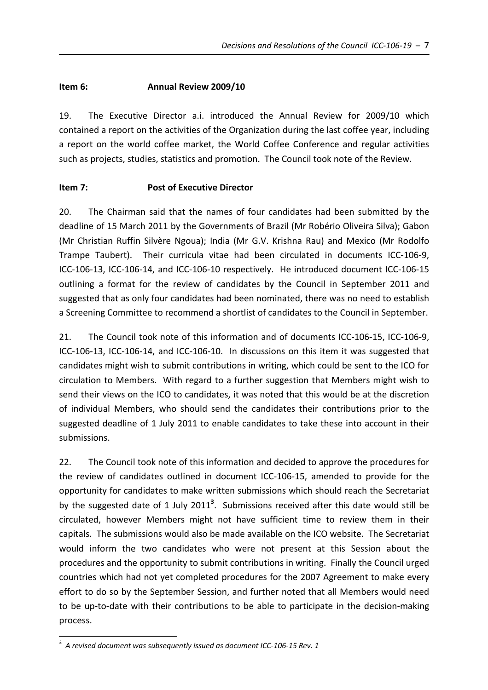## **Item 6: Annual Review 2009/10**

19. The Executive Director a.i. introduced the Annual Review for 2009/10 which contained a report on the activities of the Organization during the last coffee year, including a report on the world coffee market, the World Coffee Conference and regular activities such as projects, studies, statistics and promotion. The Council took note of the Review.

## **Item 7: Post of Executive Director**

20. The Chairman said that the names of four candidates had been submitted by the deadline of 15 March 2011 by the Governments of Brazil (Mr Robério Oliveira Silva); Gabon (Mr Christian Ruffin Silvère Ngoua); India (Mr G.V. Krishna Rau) and Mexico (Mr Rodolfo Trampe Taubert). Their curricula vitae had been circulated in documents ICC-106-9, ICC‐106‐13, ICC‐106‐14, and ICC‐106‐10 respectively. He introduced document ICC‐106‐15 outlining a format for the review of candidates by the Council in September 2011 and suggested that as only four candidates had been nominated, there was no need to establish a Screening Committee to recommend a shortlist of candidates to the Council in September.

21. The Council took note of this information and of documents ICC-106-15, ICC-106-9, ICC‐106‐13, ICC‐106‐14, and ICC‐106‐10. In discussions on this item it was suggested that candidates might wish to submit contributions in writing, which could be sent to the ICO for circulation to Members. With regard to a further suggestion that Members might wish to send their views on the ICO to candidates, it was noted that this would be at the discretion of individual Members, who should send the candidates their contributions prior to the suggested deadline of 1 July 2011 to enable candidates to take these into account in their submissions.

22. The Council took note of this information and decided to approve the procedures for the review of candidates outlined in document ICC‐106‐15, amended to provide for the opportunity for candidates to make written submissions which should reach the Secretariat by the suggested date of 1 July 2011<sup>3</sup>. Submissions received after this date would still be circulated, however Members might not have sufficient time to review them in their capitals. The submissions would also be made available on the ICO website. The Secretariat would inform the two candidates who were not present at this Session about the procedures and the opportunity to submit contributions in writing. Finally the Council urged countries which had not yet completed procedures for the 2007 Agreement to make every effort to do so by the September Session, and further noted that all Members would need to be up-to-date with their contributions to be able to participate in the decision-making process.

 $\overline{a}$ 

<sup>3</sup> *A revised document was subsequently issued as document ICC‐106‐15 Rev. 1*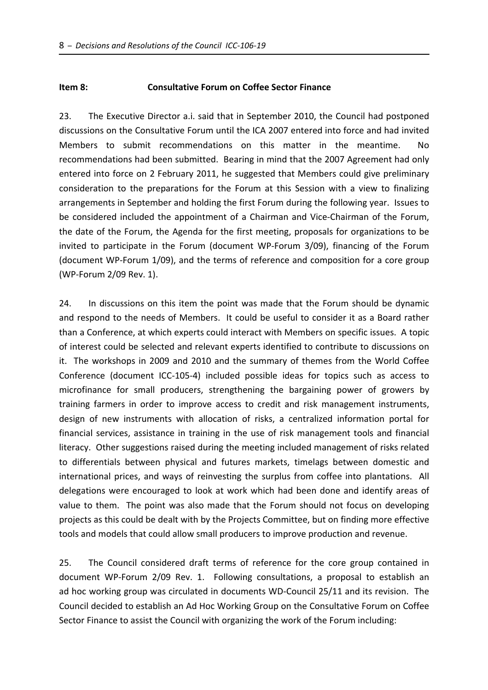#### **Item 8: Consultative Forum on Coffee Sector Finance**

23. The Executive Director a.i. said that in September 2010, the Council had postponed discussions on the Consultative Forum until the ICA 2007 entered into force and had invited Members to submit recommendations on this matter in the meantime. No recommendations had been submitted. Bearing in mind that the 2007 Agreement had only entered into force on 2 February 2011, he suggested that Members could give preliminary consideration to the preparations for the Forum at this Session with a view to finalizing arrangements in September and holding the first Forum during the following year. Issues to be considered included the appointment of a Chairman and Vice‐Chairman of the Forum, the date of the Forum, the Agenda for the first meeting, proposals for organizations to be invited to participate in the Forum (document WP‐Forum 3/09), financing of the Forum (document WP‐Forum 1/09), and the terms of reference and composition for a core group (WP‐Forum 2/09 Rev. 1).

24. In discussions on this item the point was made that the Forum should be dynamic and respond to the needs of Members. It could be useful to consider it as a Board rather than a Conference, at which experts could interact with Members on specific issues. A topic of interest could be selected and relevant experts identified to contribute to discussions on it. The workshops in 2009 and 2010 and the summary of themes from the World Coffee Conference (document ICC‐105‐4) included possible ideas for topics such as access to microfinance for small producers, strengthening the bargaining power of growers by training farmers in order to improve access to credit and risk management instruments, design of new instruments with allocation of risks, a centralized information portal for financial services, assistance in training in the use of risk management tools and financial literacy. Other suggestions raised during the meeting included management of risks related to differentials between physical and futures markets, timelags between domestic and international prices, and ways of reinvesting the surplus from coffee into plantations. All delegations were encouraged to look at work which had been done and identify areas of value to them. The point was also made that the Forum should not focus on developing projects as this could be dealt with by the Projects Committee, but on finding more effective tools and models that could allow small producers to improve production and revenue.

25. The Council considered draft terms of reference for the core group contained in document WP-Forum 2/09 Rev. 1. Following consultations, a proposal to establish an ad hoc working group was circulated in documents WD‐Council 25/11 and its revision. The Council decided to establish an Ad Hoc Working Group on the Consultative Forum on Coffee Sector Finance to assist the Council with organizing the work of the Forum including: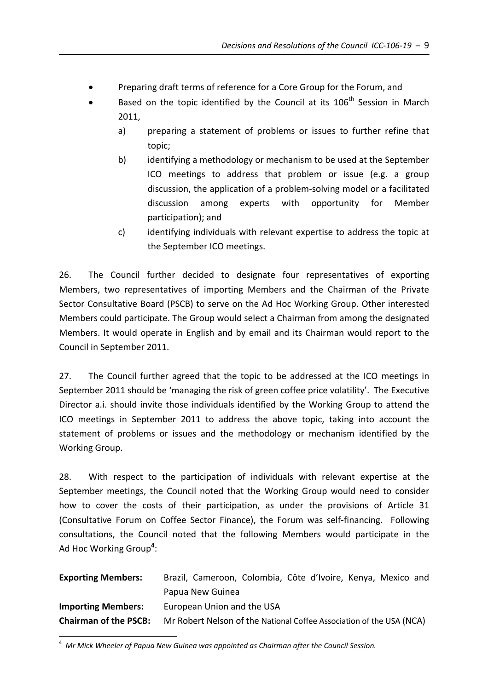- Preparing draft terms of reference for a Core Group for the Forum, and
- Based on the topic identified by the Council at its  $106<sup>th</sup>$  Session in March 2011,
	- a) preparing a statement of problems or issues to further refine that topic;
	- b) identifying a methodology or mechanism to be used at the September ICO meetings to address that problem or issue (e.g. a group discussion, the application of a problem‐solving model or a facilitated discussion among experts with opportunity for Member participation); and
	- c) identifying individuals with relevant expertise to address the topic at the September ICO meetings.

26. The Council further decided to designate four representatives of exporting Members, two representatives of importing Members and the Chairman of the Private Sector Consultative Board (PSCB) to serve on the Ad Hoc Working Group. Other interested Members could participate. The Group would select a Chairman from among the designated Members. It would operate in English and by email and its Chairman would report to the Council in September 2011.

27. The Council further agreed that the topic to be addressed at the ICO meetings in September 2011 should be 'managing the risk of green coffee price volatility'. The Executive Director a.i. should invite those individuals identified by the Working Group to attend the ICO meetings in September 2011 to address the above topic, taking into account the statement of problems or issues and the methodology or mechanism identified by the Working Group.

28. With respect to the participation of individuals with relevant expertise at the September meetings, the Council noted that the Working Group would need to consider how to cover the costs of their participation, as under the provisions of Article 31 (Consultative Forum on Coffee Sector Finance), the Forum was self‐financing. Following consultations, the Council noted that the following Members would participate in the Ad Hoc Working Group**<sup>4</sup>** :

| <b>Exporting Members:</b>    | Brazil, Cameroon, Colombia, Côte d'Ivoire, Kenya, Mexico and         |
|------------------------------|----------------------------------------------------------------------|
|                              | Papua New Guinea                                                     |
| <b>Importing Members:</b>    | European Union and the USA                                           |
| <b>Chairman of the PSCB:</b> | Mr Robert Nelson of the National Coffee Association of the USA (NCA) |

<sup>4</sup> *Mr Mick Wheeler of Papua New Guinea was appointed as Chairman after the Council Session.*

 $\overline{a}$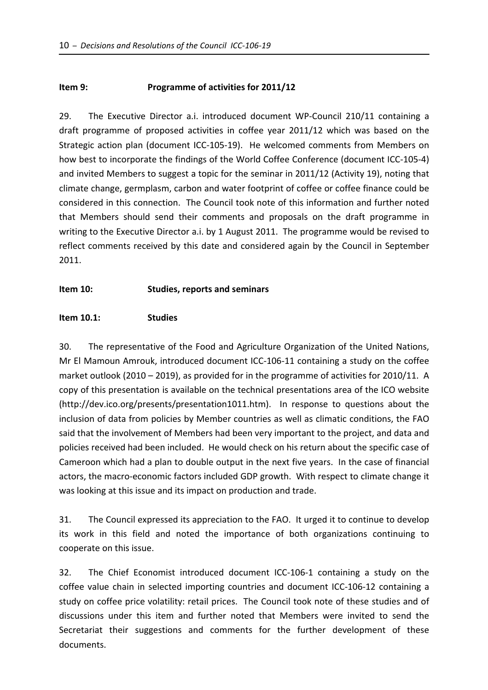### **Item 9: Programme of activities for 2011/12**

29. The Executive Director a.i. introduced document WP-Council 210/11 containing a draft programme of proposed activities in coffee year 2011/12 which was based on the Strategic action plan (document ICC‐105‐19). He welcomed comments from Members on how best to incorporate the findings of the World Coffee Conference (document ICC‐105‐4) and invited Members to suggest a topic for the seminar in 2011/12 (Activity 19), noting that climate change, germplasm, carbon and water footprint of coffee or coffee finance could be considered in this connection. The Council took note of this information and further noted that Members should send their comments and proposals on the draft programme in writing to the Executive Director a.i. by 1 August 2011. The programme would be revised to reflect comments received by this date and considered again by the Council in September 2011.

## **Item 10: Studies, reports and seminars**

#### **Item 10.1: Studies**

30. The representative of the Food and Agriculture Organization of the United Nations, Mr El Mamoun Amrouk, introduced document ICC‐106‐11 containing a study on the coffee market outlook (2010 – 2019), as provided for in the programme of activities for 2010/11. A copy of this presentation is available on the technical presentations area of the ICO website (http://dev.ico.org/presents/presentation1011.htm). In response to questions about the inclusion of data from policies by Member countries as well as climatic conditions, the FAO said that the involvement of Members had been very important to the project, and data and policies received had been included. He would check on his return about the specific case of Cameroon which had a plan to double output in the next five years. In the case of financial actors, the macro‐economic factors included GDP growth. With respect to climate change it was looking at this issue and its impact on production and trade.

31. The Council expressed its appreciation to the FAO. It urged it to continue to develop its work in this field and noted the importance of both organizations continuing to cooperate on this issue.

32. The Chief Economist introduced document ICC‐106‐1 containing a study on the coffee value chain in selected importing countries and document ICC‐106‐12 containing a study on coffee price volatility: retail prices. The Council took note of these studies and of discussions under this item and further noted that Members were invited to send the Secretariat their suggestions and comments for the further development of these documents.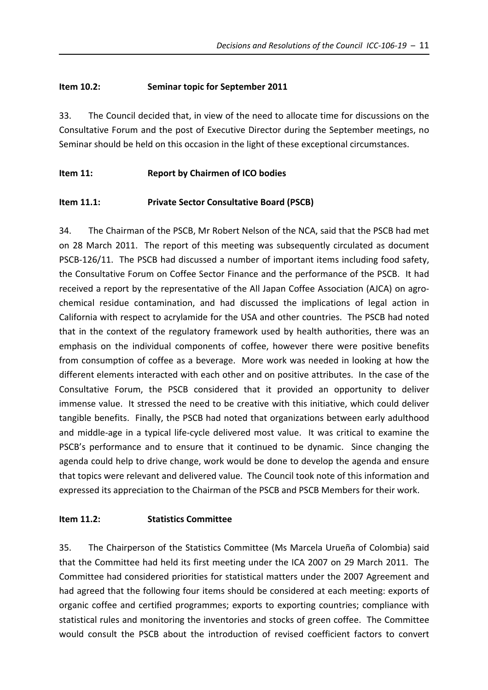# **Item 10.2: Seminar topic for September 2011**

33. The Council decided that, in view of the need to allocate time for discussions on the Consultative Forum and the post of Executive Director during the September meetings, no Seminar should be held on this occasion in the light of these exceptional circumstances.

## **Item 11: Report by Chairmen of ICO bodies**

# **Item 11.1: Private Sector Consultative Board (PSCB)**

34. The Chairman of the PSCB, Mr Robert Nelson of the NCA, said that the PSCB had met on 28 March 2011. The report of this meeting was subsequently circulated as document PSCB‐126/11. The PSCB had discussed a number of important items including food safety, the Consultative Forum on Coffee Sector Finance and the performance of the PSCB. It had received a report by the representative of the All Japan Coffee Association (AJCA) on agro‐ chemical residue contamination, and had discussed the implications of legal action in California with respect to acrylamide for the USA and other countries. The PSCB had noted that in the context of the regulatory framework used by health authorities, there was an emphasis on the individual components of coffee, however there were positive benefits from consumption of coffee as a beverage. More work was needed in looking at how the different elements interacted with each other and on positive attributes. In the case of the Consultative Forum, the PSCB considered that it provided an opportunity to deliver immense value. It stressed the need to be creative with this initiative, which could deliver tangible benefits. Finally, the PSCB had noted that organizations between early adulthood and middle-age in a typical life-cycle delivered most value. It was critical to examine the PSCB's performance and to ensure that it continued to be dynamic. Since changing the agenda could help to drive change, work would be done to develop the agenda and ensure that topics were relevant and delivered value. The Council took note of this information and expressed its appreciation to the Chairman of the PSCB and PSCB Members for their work.

## **Item 11.2: Statistics Committee**

35. The Chairperson of the Statistics Committee (Ms Marcela Urueña of Colombia) said that the Committee had held its first meeting under the ICA 2007 on 29 March 2011. The Committee had considered priorities for statistical matters under the 2007 Agreement and had agreed that the following four items should be considered at each meeting: exports of organic coffee and certified programmes; exports to exporting countries; compliance with statistical rules and monitoring the inventories and stocks of green coffee. The Committee would consult the PSCB about the introduction of revised coefficient factors to convert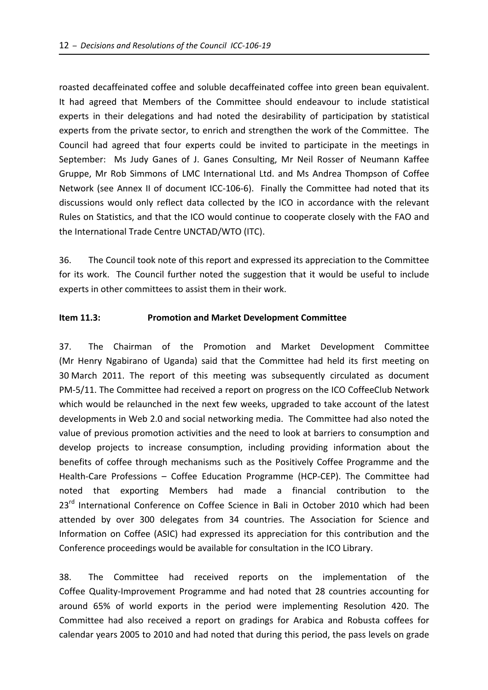roasted decaffeinated coffee and soluble decaffeinated coffee into green bean equivalent. It had agreed that Members of the Committee should endeavour to include statistical experts in their delegations and had noted the desirability of participation by statistical experts from the private sector, to enrich and strengthen the work of the Committee. The Council had agreed that four experts could be invited to participate in the meetings in September: Ms Judy Ganes of J. Ganes Consulting, Mr Neil Rosser of Neumann Kaffee Gruppe, Mr Rob Simmons of LMC International Ltd. and Ms Andrea Thompson of Coffee Network (see Annex II of document ICC-106-6). Finally the Committee had noted that its discussions would only reflect data collected by the ICO in accordance with the relevant Rules on Statistics, and that the ICO would continue to cooperate closely with the FAO and the International Trade Centre UNCTAD/WTO (ITC).

36. The Council took note of this report and expressed its appreciation to the Committee for its work. The Council further noted the suggestion that it would be useful to include experts in other committees to assist them in their work.

## **Item 11.3: Promotion and Market Development Committee**

37. The Chairman of the Promotion and Market Development Committee (Mr Henry Ngabirano of Uganda) said that the Committee had held its first meeting on 30 March 2011. The report of this meeting was subsequently circulated as document PM‐5/11. The Committee had received a report on progress on the ICO CoffeeClub Network which would be relaunched in the next few weeks, upgraded to take account of the latest developments in Web 2.0 and social networking media. The Committee had also noted the value of previous promotion activities and the need to look at barriers to consumption and develop projects to increase consumption, including providing information about the benefits of coffee through mechanisms such as the Positively Coffee Programme and the Health‐Care Professions – Coffee Education Programme (HCP‐CEP). The Committee had noted that exporting Members had made a financial contribution to the 23<sup>rd</sup> International Conference on Coffee Science in Bali in October 2010 which had been attended by over 300 delegates from 34 countries. The Association for Science and Information on Coffee (ASIC) had expressed its appreciation for this contribution and the Conference proceedings would be available for consultation in the ICO Library.

38. The Committee had received reports on the implementation of the Coffee Quality‐Improvement Programme and had noted that 28 countries accounting for around 65% of world exports in the period were implementing Resolution 420. The Committee had also received a report on gradings for Arabica and Robusta coffees for calendar years 2005 to 2010 and had noted that during this period, the pass levels on grade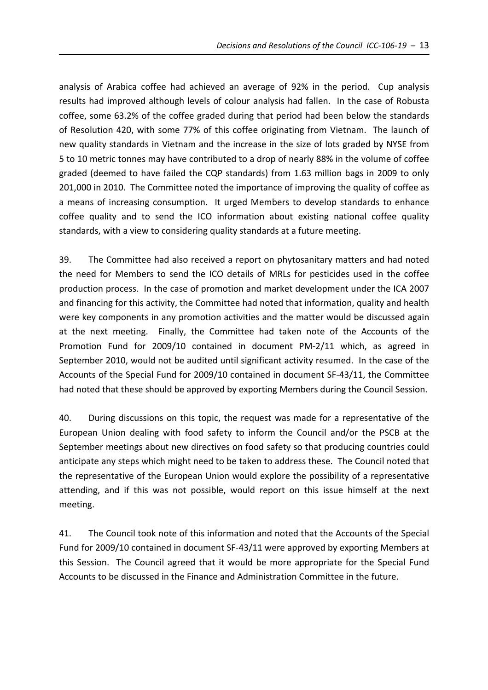analysis of Arabica coffee had achieved an average of 92% in the period. Cup analysis results had improved although levels of colour analysis had fallen. In the case of Robusta coffee, some 63.2% of the coffee graded during that period had been below the standards of Resolution 420, with some 77% of this coffee originating from Vietnam. The launch of new quality standards in Vietnam and the increase in the size of lots graded by NYSE from 5 to 10 metric tonnes may have contributed to a drop of nearly 88% in the volume of coffee graded (deemed to have failed the CQP standards) from 1.63 million bags in 2009 to only 201,000 in 2010. The Committee noted the importance of improving the quality of coffee as a means of increasing consumption. It urged Members to develop standards to enhance coffee quality and to send the ICO information about existing national coffee quality standards, with a view to considering quality standards at a future meeting.

39. The Committee had also received a report on phytosanitary matters and had noted the need for Members to send the ICO details of MRLs for pesticides used in the coffee production process. In the case of promotion and market development under the ICA 2007 and financing for this activity, the Committee had noted that information, quality and health were key components in any promotion activities and the matter would be discussed again at the next meeting. Finally, the Committee had taken note of the Accounts of the Promotion Fund for 2009/10 contained in document PM‐2/11 which, as agreed in September 2010, would not be audited until significant activity resumed. In the case of the Accounts of the Special Fund for 2009/10 contained in document SF‐43/11, the Committee had noted that these should be approved by exporting Members during the Council Session.

40. During discussions on this topic, the request was made for a representative of the European Union dealing with food safety to inform the Council and/or the PSCB at the September meetings about new directives on food safety so that producing countries could anticipate any steps which might need to be taken to address these. The Council noted that the representative of the European Union would explore the possibility of a representative attending, and if this was not possible, would report on this issue himself at the next meeting.

41. The Council took note of this information and noted that the Accounts of the Special Fund for 2009/10 contained in document SF‐43/11 were approved by exporting Members at this Session. The Council agreed that it would be more appropriate for the Special Fund Accounts to be discussed in the Finance and Administration Committee in the future.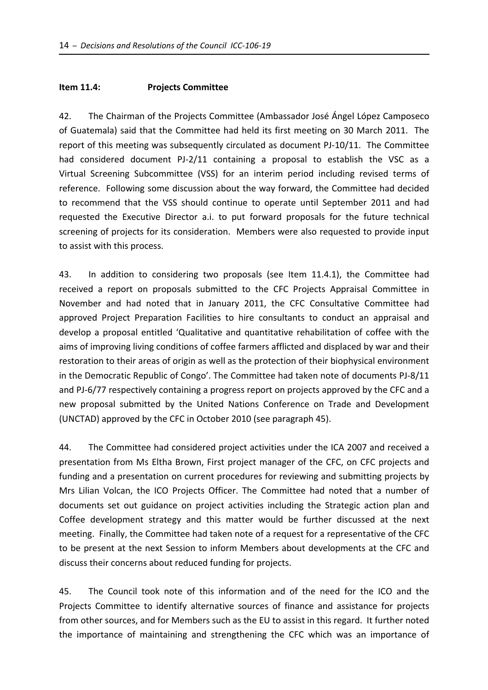#### **Item 11.4: Projects Committee**

42. The Chairman of the Projects Committee (Ambassador José Ángel López Camposeco of Guatemala) said that the Committee had held its first meeting on 30 March 2011. The report of this meeting was subsequently circulated as document PJ‐10/11.The Committee had considered document PJ-2/11 containing a proposal to establish the VSC as a Virtual Screening Subcommittee (VSS) for an interim period including revised terms of reference. Following some discussion about the way forward, the Committee had decided to recommend that the VSS should continue to operate until September 2011 and had requested the Executive Director a.i. to put forward proposals for the future technical screening of projects for its consideration.Members were also requested to provide input to assist with this process.

43. In addition to considering two proposals (see Item 11.4.1), the Committee had received a report on proposals submitted to the CFC Projects Appraisal Committee in November and had noted that in January 2011, the CFC Consultative Committee had approved Project Preparation Facilities to hire consultants to conduct an appraisal and develop a proposal entitled 'Qualitative and quantitative rehabilitation of coffee with the aims of improving living conditions of coffee farmers afflicted and displaced by war and their restoration to their areas of origin as well as the protection of their biophysical environment in the Democratic Republic of Congo'. The Committee had taken note of documents PJ‐8/11 and PJ-6/77 respectively containing a progress report on projects approved by the CFC and a new proposal submitted by the United Nations Conference on Trade and Development (UNCTAD) approved by the CFC in October 2010 (see paragraph 45).

44. The Committee had considered project activities under the ICA 2007 and received a presentation from Ms Eltha Brown, First project manager of the CFC, on CFC projects and funding and a presentation on current procedures for reviewing and submitting projects by Mrs Lilian Volcan, the ICO Projects Officer. The Committee had noted that a number of documents set out guidance on project activities including the Strategic action plan and Coffee development strategy and this matter would be further discussed at the next meeting. Finally, the Committee had taken note of a request for a representative of the CFC to be present at the next Session to inform Members about developments at the CFC and discuss their concerns about reduced funding for projects.

45. The Council took note of this information and of the need for the ICO and the Projects Committee to identify alternative sources of finance and assistance for projects from other sources, and for Members such as the EU to assist in this regard. It further noted the importance of maintaining and strengthening the CFC which was an importance of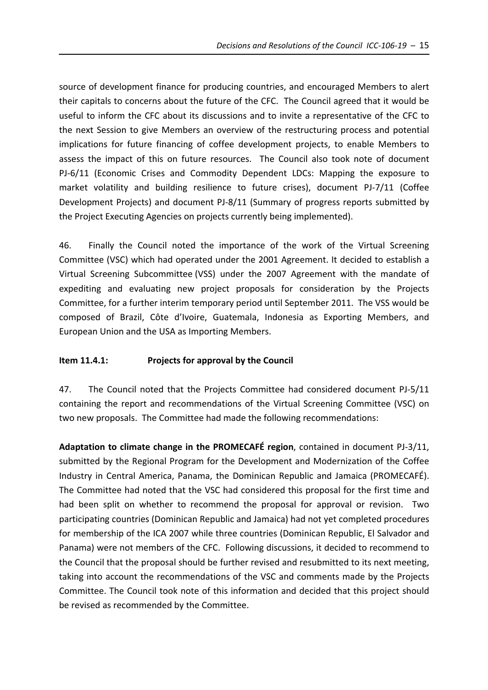source of development finance for producing countries, and encouraged Members to alert their capitals to concerns about the future of the CFC. The Council agreed that it would be useful to inform the CFC about its discussions and to invite a representative of the CFC to the next Session to give Members an overview of the restructuring process and potential implications for future financing of coffee development projects, to enable Members to assess the impact of this on future resources. The Council also took note of document PJ-6/11 (Economic Crises and Commodity Dependent LDCs: Mapping the exposure to market volatility and building resilience to future crises), document PJ‐7/11 (Coffee Development Projects) and document PJ‐8/11 (Summary of progress reports submitted by the Project Executing Agencies on projects currently being implemented).

46. Finally the Council noted the importance of the work of the Virtual Screening Committee (VSC) which had operated under the 2001 Agreement. It decided to establish a Virtual Screening Subcommittee (VSS) under the 2007 Agreement with the mandate of expediting and evaluating new project proposals for consideration by the Projects Committee, for a further interim temporary period until September 2011. The VSS would be composed of Brazil, Côte d'Ivoire, Guatemala, Indonesia as Exporting Members, and European Union and the USA as Importing Members.

## **Item 11.4.1: Projects for approval by the Council**

47. The Council noted that the Projects Committee had considered document PJ-5/11 containing the report and recommendations of the Virtual Screening Committee (VSC) on two new proposals. The Committee had made the following recommendations:

**Adaptation to climate change in the PROMECAFÉ region**, contained in document PJ‐3/11, submitted by the Regional Program for the Development and Modernization of the Coffee Industry in Central America, Panama, the Dominican Republic and Jamaica (PROMECAFÉ). The Committee had noted that the VSC had considered this proposal for the first time and had been split on whether to recommend the proposal for approval or revision. Two participating countries (Dominican Republic and Jamaica) had not yet completed procedures for membership of the ICA 2007 while three countries (Dominican Republic, El Salvador and Panama) were not members of the CFC. Following discussions, it decided to recommend to the Council that the proposal should be further revised and resubmitted to its next meeting, taking into account the recommendations of the VSC and comments made by the Projects Committee. The Council took note of this information and decided that this project should be revised as recommended by the Committee.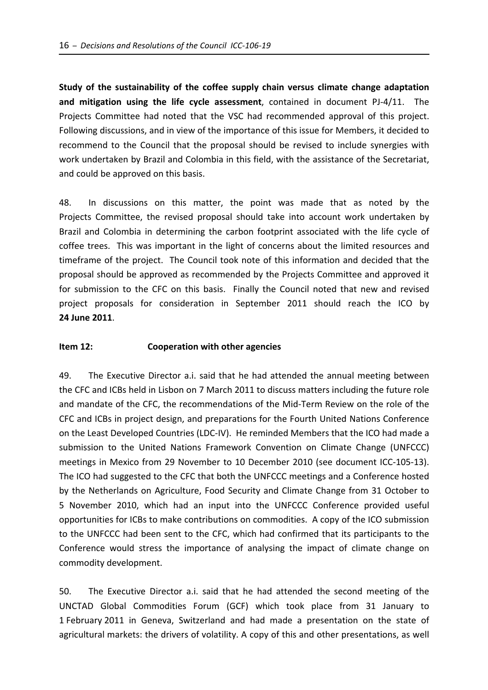**Study of the sustainability of the coffee supply chain versus climate change adaptation and mitigation using the life cycle assessment**, contained in document PJ‐4/11. The Projects Committee had noted that the VSC had recommended approval of this project. Following discussions, and in view of the importance of this issue for Members, it decided to recommend to the Council that the proposal should be revised to include synergies with work undertaken by Brazil and Colombia in this field, with the assistance of the Secretariat, and could be approved on this basis.

48. In discussions on this matter, the point was made that as noted by the Projects Committee, the revised proposal should take into account work undertaken by Brazil and Colombia in determining the carbon footprint associated with the life cycle of coffee trees. This was important in the light of concerns about the limited resources and timeframe of the project. The Council took note of this information and decided that the proposal should be approved as recommended by the Projects Committee and approved it for submission to the CFC on this basis. Finally the Council noted that new and revised project proposals for consideration in September 2011 should reach the ICO by **24 June 2011**.

#### **Item 12: Cooperation with other agencies**

49. The Executive Director a.i. said that he had attended the annual meeting between the CFC and ICBs held in Lisbon on 7 March 2011 to discuss matters including the future role and mandate of the CFC, the recommendations of the Mid‐Term Review on the role of the CFC and ICBs in project design, and preparations for the Fourth United Nations Conference on the Least Developed Countries (LDC‐IV). He reminded Members that the ICO had made a submission to the United Nations Framework Convention on Climate Change (UNFCCC) meetings in Mexico from 29 November to 10 December 2010 (see document ICC-105-13). The ICO had suggested to the CFC that both the UNFCCC meetings and a Conference hosted by the Netherlands on Agriculture, Food Security and Climate Change from 31 October to 5 November 2010, which had an input into the UNFCCC Conference provided useful opportunities for ICBs to make contributions on commodities. A copy of the ICO submission to the UNFCCC had been sent to the CFC, which had confirmed that its participants to the Conference would stress the importance of analysing the impact of climate change on commodity development.

50. The Executive Director a.i. said that he had attended the second meeting of the UNCTAD Global Commodities Forum (GCF) which took place from 31 January to 1 February 2011 in Geneva, Switzerland and had made a presentation on the state of agricultural markets: the drivers of volatility. A copy of this and other presentations, as well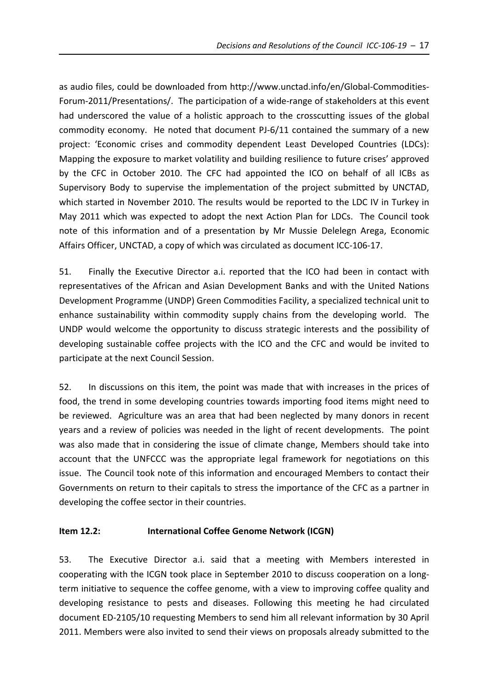as audio files, could be downloaded from http://www.unctad.info/en/Global‐Commodities‐ Forum-2011/Presentations/. The participation of a wide-range of stakeholders at this event had underscored the value of a holistic approach to the crosscutting issues of the global commodity economy. He noted that document PJ‐6/11 contained the summary of a new project: 'Economic crises and commodity dependent Least Developed Countries (LDCs): Mapping the exposure to market volatility and building resilience to future crises' approved by the CFC in October 2010. The CFC had appointed the ICO on behalf of all ICBs as Supervisory Body to supervise the implementation of the project submitted by UNCTAD, which started in November 2010. The results would be reported to the LDC IV in Turkey in May 2011 which was expected to adopt the next Action Plan for LDCs. The Council took note of this information and of a presentation by Mr Mussie Delelegn Arega, Economic Affairs Officer, UNCTAD, a copy of which was circulated as document ICC‐106‐17.

51. Finally the Executive Director a.i. reported that the ICO had been in contact with representatives of the African and Asian Development Banks and with the United Nations Development Programme (UNDP) Green Commodities Facility, a specialized technical unit to enhance sustainability within commodity supply chains from the developing world. The UNDP would welcome the opportunity to discuss strategic interests and the possibility of developing sustainable coffee projects with the ICO and the CFC and would be invited to participate at the next Council Session.

52. In discussions on this item, the point was made that with increases in the prices of food, the trend in some developing countries towards importing food items might need to be reviewed. Agriculture was an area that had been neglected by many donors in recent years and a review of policies was needed in the light of recent developments. The point was also made that in considering the issue of climate change, Members should take into account that the UNFCCC was the appropriate legal framework for negotiations on this issue. The Council took note of this information and encouraged Members to contact their Governments on return to their capitals to stress the importance of the CFC as a partner in developing the coffee sector in their countries.

## **Item 12.2: International Coffee Genome Network (ICGN)**

53. The Executive Director a.i. said that a meeting with Members interested in cooperating with the ICGN took place in September 2010 to discuss cooperation on a long‐ term initiative to sequence the coffee genome, with a view to improving coffee quality and developing resistance to pests and diseases. Following this meeting he had circulated document ED‐2105/10 requesting Members to send him all relevant information by 30 April 2011. Members were also invited to send their views on proposals already submitted to the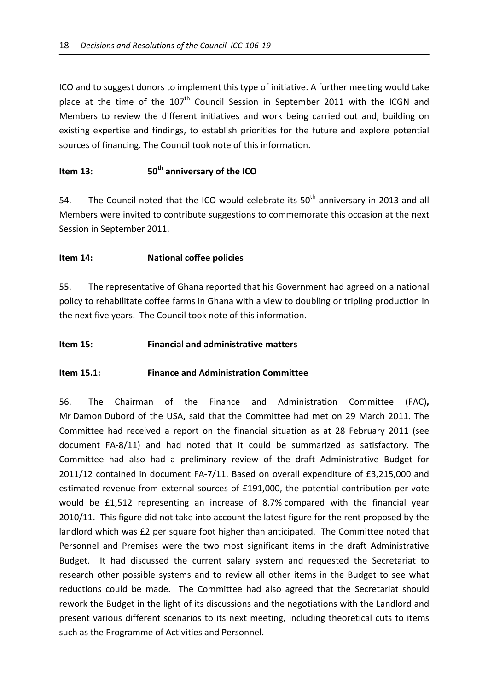ICO and to suggest donors to implement this type of initiative. A further meeting would take place at the time of the 107<sup>th</sup> Council Session in September 2011 with the ICGN and Members to review the different initiatives and work being carried out and, building on existing expertise and findings, to establish priorities for the future and explore potential sources of financing. The Council took note of this information.

# **Item 13: 50<sup>th</sup> anniversary of the ICO**

54. The Council noted that the ICO would celebrate its  $50<sup>th</sup>$  anniversary in 2013 and all Members were invited to contribute suggestions to commemorate this occasion at the next Session in September 2011.

## **Item 14: National coffee policies**

55. The representative of Ghana reported that his Government had agreed on a national policy to rehabilitate coffee farms in Ghana with a view to doubling or tripling production in the next five years. The Council took note of this information.

#### **Item 15: Financial and administrative matters**

#### **Item 15.1: Finance and Administration Committee**

56. The Chairman of the Finance and Administration Committee (FAC)**,** Mr Damon Dubord of the USA**,** said that the Committee had met on 29 March 2011. The Committee had received a report on the financial situation as at 28 February 2011 (see document FA‐8/11) and had noted that it could be summarized as satisfactory. The Committee had also had a preliminary review of the draft Administrative Budget for 2011/12 contained in document FA‐7/11. Based on overall expenditure of £3,215,000 and estimated revenue from external sources of £191,000, the potential contribution per vote would be £1,512 representing an increase of 8.7% compared with the financial year 2010/11. This figure did not take into account the latest figure for the rent proposed by the landlord which was £2 per square foot higher than anticipated. The Committee noted that Personnel and Premises were the two most significant items in the draft Administrative Budget. It had discussed the current salary system and requested the Secretariat to research other possible systems and to review all other items in the Budget to see what reductions could be made. The Committee had also agreed that the Secretariat should rework the Budget in the light of its discussions and the negotiations with the Landlord and present various different scenarios to its next meeting, including theoretical cuts to items such as the Programme of Activities and Personnel.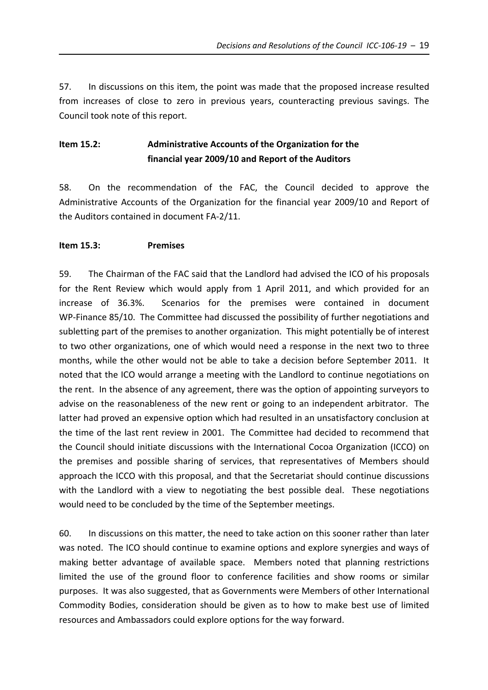57. In discussions on this item, the point was made that the proposed increase resulted from increases of close to zero in previous years, counteracting previous savings. The Council took note of this report.

# **Item 15.2: Administrative Accounts of the Organization for the financial year 2009/10 and Report of the Auditors**

58. On the recommendation of the FAC, the Council decided to approve the Administrative Accounts of the Organization for the financial year 2009/10 and Report of the Auditors contained in document FA‐2/11.

## **Item 15.3: Premises**

59. The Chairman of the FAC said that the Landlord had advised the ICO of his proposals for the Rent Review which would apply from 1 April 2011, and which provided for an increase of 36.3%. Scenarios for the premises were contained in document WP-Finance 85/10. The Committee had discussed the possibility of further negotiations and subletting part of the premises to another organization. This might potentially be of interest to two other organizations, one of which would need a response in the next two to three months, while the other would not be able to take a decision before September 2011. It noted that the ICO would arrange a meeting with the Landlord to continue negotiations on the rent. In the absence of any agreement, there was the option of appointing surveyors to advise on the reasonableness of the new rent or going to an independent arbitrator. The latter had proved an expensive option which had resulted in an unsatisfactory conclusion at the time of the last rent review in 2001. The Committee had decided to recommend that the Council should initiate discussions with the International Cocoa Organization (ICCO) on the premises and possible sharing of services, that representatives of Members should approach the ICCO with this proposal, and that the Secretariat should continue discussions with the Landlord with a view to negotiating the best possible deal. These negotiations would need to be concluded by the time of the September meetings.

60. In discussions on this matter, the need to take action on this sooner rather than later was noted. The ICO should continue to examine options and explore synergies and ways of making better advantage of available space. Members noted that planning restrictions limited the use of the ground floor to conference facilities and show rooms or similar purposes. It was also suggested, that as Governments were Members of other International Commodity Bodies, consideration should be given as to how to make best use of limited resources and Ambassadors could explore options for the way forward.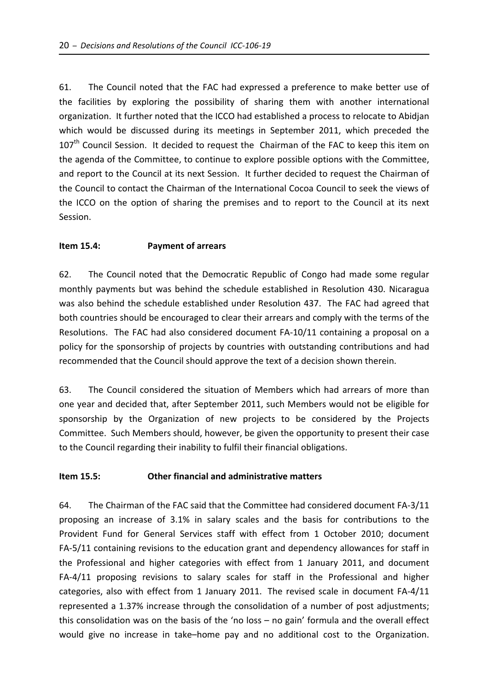61. The Council noted that the FAC had expressed a preference to make better use of the facilities by exploring the possibility of sharing them with another international organization. It further noted that the ICCO had established a process to relocate to Abidjan which would be discussed during its meetings in September 2011, which preceded the  $107<sup>th</sup>$  Council Session. It decided to request the Chairman of the FAC to keep this item on the agenda of the Committee, to continue to explore possible options with the Committee, and report to the Council at its next Session. It further decided to request the Chairman of the Council to contact the Chairman of the International Cocoa Council to seek the views of the ICCO on the option of sharing the premises and to report to the Council at its next Session.

## **Item 15.4: Payment of arrears**

62. The Council noted that the Democratic Republic of Congo had made some regular monthly payments but was behind the schedule established in Resolution 430. Nicaragua was also behind the schedule established under Resolution 437. The FAC had agreed that both countries should be encouraged to clear their arrears and comply with the terms of the Resolutions. The FAC had also considered document FA‐10/11 containing a proposal on a policy for the sponsorship of projects by countries with outstanding contributions and had recommended that the Council should approve the text of a decision shown therein.

63. The Council considered the situation of Members which had arrears of more than one year and decided that, after September 2011, such Members would not be eligible for sponsorship by the Organization of new projects to be considered by the Projects Committee. Such Members should, however, be given the opportunity to present their case to the Council regarding their inability to fulfil their financial obligations.

#### **Item 15.5: Other financial and administrative matters**

64. The Chairman of the FAC said that the Committee had considered document FA‐3/11 proposing an increase of 3.1% in salary scales and the basis for contributions to the Provident Fund for General Services staff with effect from 1 October 2010; document FA‐5/11 containing revisions to the education grant and dependency allowances for staff in the Professional and higher categories with effect from 1 January 2011, and document FA-4/11 proposing revisions to salary scales for staff in the Professional and higher categories, also with effect from 1 January 2011. The revised scale in document FA‐4/11 represented a 1.37% increase through the consolidation of a number of post adjustments; this consolidation was on the basis of the 'no loss – no gain' formula and the overall effect would give no increase in take–home pay and no additional cost to the Organization.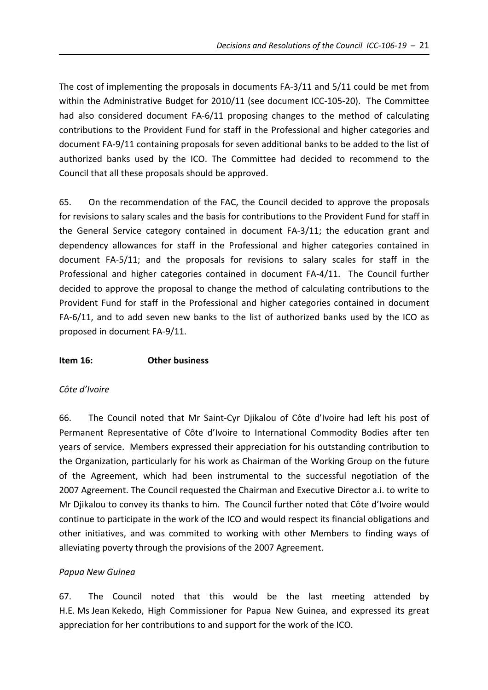The cost of implementing the proposals in documents FA‐3/11 and 5/11 could be met from within the Administrative Budget for 2010/11 (see document ICC-105-20). The Committee had also considered document FA-6/11 proposing changes to the method of calculating contributions to the Provident Fund for staff in the Professional and higher categories and document FA‐9/11 containing proposals for seven additional banks to be added to the list of authorized banks used by the ICO. The Committee had decided to recommend to the Council that all these proposals should be approved.

65. On the recommendation of the FAC, the Council decided to approve the proposals for revisions to salary scales and the basis for contributions to the Provident Fund for staff in the General Service category contained in document FA‐3/11; the education grant and dependency allowances for staff in the Professional and higher categories contained in document FA‐5/11; and the proposals for revisions to salary scales for staff in the Professional and higher categories contained in document FA-4/11. The Council further decided to approve the proposal to change the method of calculating contributions to the Provident Fund for staff in the Professional and higher categories contained in document FA-6/11, and to add seven new banks to the list of authorized banks used by the ICO as proposed in document FA‐9/11.

## **Item 16: Other business**

#### *Côte d'Ivoire*

66. The Council noted that Mr Saint‐Cyr Djikalou of Côte d'Ivoire had left his post of Permanent Representative of Côte d'Ivoire to International Commodity Bodies after ten years of service. Members expressed their appreciation for his outstanding contribution to the Organization, particularly for his work as Chairman of the Working Group on the future of the Agreement, which had been instrumental to the successful negotiation of the 2007 Agreement. The Council requested the Chairman and Executive Director a.i. to write to Mr Djikalou to convey its thanks to him. The Council further noted that Côte d'Ivoire would continue to participate in the work of the ICO and would respect its financial obligations and other initiatives, and was commited to working with other Members to finding ways of alleviating poverty through the provisions of the 2007 Agreement.

## *Papua New Guinea*

67. The Council noted that this would be the last meeting attended by H.E. Ms Jean Kekedo, High Commissioner for Papua New Guinea, and expressed its great appreciation for her contributions to and support for the work of the ICO.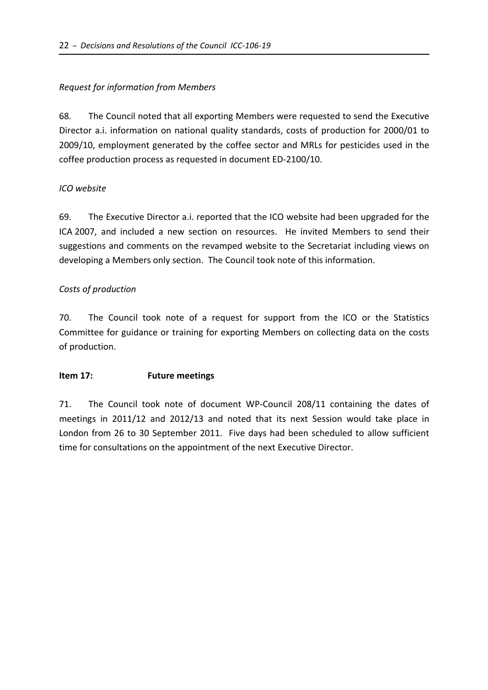# *Request for information from Members*

68. The Council noted that all exporting Members were requested to send the Executive Director a.i. information on national quality standards, costs of production for 2000/01 to 2009/10, employment generated by the coffee sector and MRLs for pesticides used in the coffee production process as requested in document ED‐2100/10.

## *ICO website*

69. The Executive Director a.i. reported that the ICO website had been upgraded for the ICA 2007, and included a new section on resources. He invited Members to send their suggestions and comments on the revamped website to the Secretariat including views on developing a Members only section. The Council took note of this information.

## *Costs of production*

70. The Council took note of a request for support from the ICO or the Statistics Committee for guidance or training for exporting Members on collecting data on the costs of production.

## **Item 17: Future meetings**

71. The Council took note of document WP-Council 208/11 containing the dates of meetings in 2011/12 and 2012/13 and noted that its next Session would take place in London from 26 to 30 September 2011. Five days had been scheduled to allow sufficient time for consultations on the appointment of the next Executive Director.